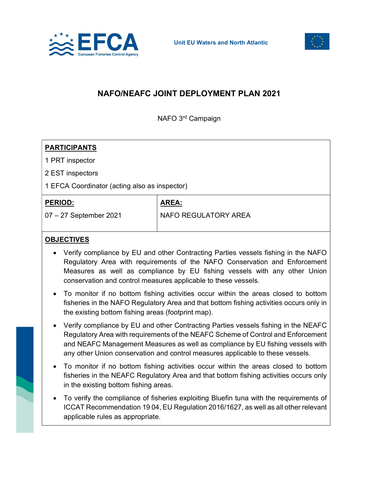



## NAFO/NEAFC JOINT DEPLOYMENT PLAN 2021

NAFO 3rd Campaign

| <b>PARTICIPANTS</b>                           |                      |
|-----------------------------------------------|----------------------|
| 1 PRT inspector                               |                      |
| 2 EST inspectors                              |                      |
| 1 EFCA Coordinator (acting also as inspector) |                      |
| <b>PERIOD:</b>                                | <b>AREA:</b>         |
| 07 - 27 September 2021                        | NAFO REGULATORY AREA |
|                                               |                      |
| <b>OBJECTIVES</b>                             |                      |

- Verify compliance by EU and other Contracting Parties vessels fishing in the NAFO Regulatory Area with requirements of the NAFO Conservation and Enforcement Measures as well as compliance by EU fishing vessels with any other Union conservation and control measures applicable to these vessels.
- To monitor if no bottom fishing activities occur within the areas closed to bottom fisheries in the NAFO Regulatory Area and that bottom fishing activities occurs only in the existing bottom fishing areas (footprint map).
- Verify compliance by EU and other Contracting Parties vessels fishing in the NEAFC Regulatory Area with requirements of the NEAFC Scheme of Control and Enforcement and NEAFC Management Measures as well as compliance by EU fishing vessels with any other Union conservation and control measures applicable to these vessels.
- To monitor if no bottom fishing activities occur within the areas closed to bottom fisheries in the NEAFC Regulatory Area and that bottom fishing activities occurs only in the existing bottom fishing areas.
- To verify the compliance of fisheries exploiting Bluefin tuna with the requirements of ICCAT Recommendation 19 04, EU Regulation 2016/1627, as well as all other relevant applicable rules as appropriate.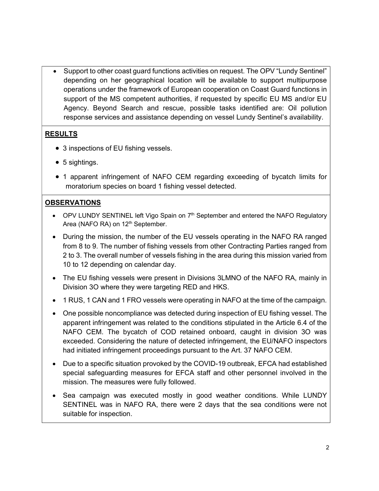Support to other coast guard functions activities on request. The OPV "Lundy Sentinel" depending on her geographical location will be available to support multipurpose operations under the framework of European cooperation on Coast Guard functions in support of the MS competent authorities, if requested by specific EU MS and/or EU Agency. Beyond Search and rescue, possible tasks identified are: Oil pollution response services and assistance depending on vessel Lundy Sentinel's availability.

## RESULTS

- 3 inspections of EU fishing vessels.
- 5 sightings.
- 1 apparent infringement of NAFO CEM regarding exceeding of bycatch limits for moratorium species on board 1 fishing vessel detected.

## **OBSERVATIONS**

- $\bullet$  OPV LUNDY SENTINEL left Vigo Spain on  $7<sup>th</sup>$  September and entered the NAFO Regulatory Area (NAFO RA) on 12<sup>th</sup> September.
- During the mission, the number of the EU vessels operating in the NAFO RA ranged from 8 to 9. The number of fishing vessels from other Contracting Parties ranged from 2 to 3. The overall number of vessels fishing in the area during this mission varied from 10 to 12 depending on calendar day.
- The EU fishing vessels were present in Divisions 3LMNO of the NAFO RA, mainly in Division 3O where they were targeting RED and HKS.
- 1 RUS, 1 CAN and 1 FRO vessels were operating in NAFO at the time of the campaign.
- One possible noncompliance was detected during inspection of EU fishing vessel. The apparent infringement was related to the conditions stipulated in the Article 6.4 of the NAFO CEM. The bycatch of COD retained onboard, caught in division 3O was exceeded. Considering the nature of detected infringement, the EU/NAFO inspectors had initiated infringement proceedings pursuant to the Art. 37 NAFO CEM.
- Due to a specific situation provoked by the COVID-19 outbreak, EFCA had established special safeguarding measures for EFCA staff and other personnel involved in the mission. The measures were fully followed.
- Sea campaign was executed mostly in good weather conditions. While LUNDY SENTINEL was in NAFO RA, there were 2 days that the sea conditions were not suitable for inspection.